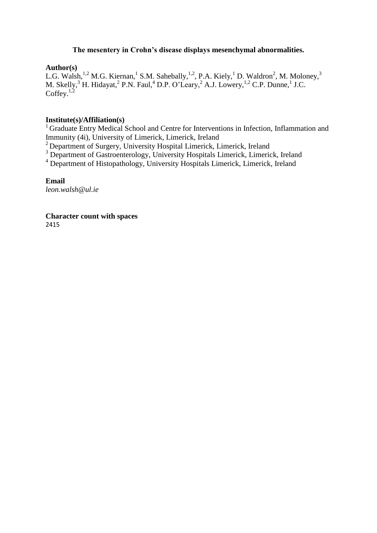## **The mesentery in Crohn's disease displays mesenchymal abnormalities.**

## **Author(s)**

L.G. Walsh,<sup>1,2</sup> M.G. Kiernan,<sup>1</sup> S.M. Sahebally,<sup>1,2</sup>, P.A. Kiely,<sup>1</sup> D. Waldron<sup>2</sup>, M. Moloney,<sup>3</sup> M. Skelly,  $^3$  H. Hidayat,  $^2$  P.N. Faul,  $^4$  D.P. O'Leary,  $^2$  A.J. Lowery,  $^{1,2}$  C.P. Dunne,  $^1$  J.C. Coffey. $1,2$ 

### **Institute(s)/Affiliation(s)**

<sup>1</sup> Graduate Entry Medical School and Centre for Interventions in Infection, Inflammation and Immunity (4i), University of Limerick, Limerick, Ireland

<sup>2</sup> Department of Surgery, University Hospital Limerick, Limerick, Ireland

<sup>3</sup> Department of Gastroenterology, University Hospitals Limerick, Limerick, Ireland

<sup>4</sup> Department of Histopathology, University Hospitals Limerick, Limerick, Ireland

### **Email**

*leon.walsh@ul.ie*

#### **Character count with spaces**  2415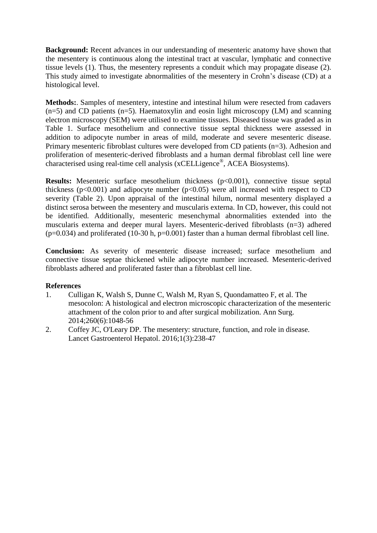**Background:** Recent advances in our understanding of mesenteric anatomy have shown that the mesentery is continuous along the intestinal tract at vascular, lymphatic and connective tissue levels (1). Thus, the mesentery represents a conduit which may propagate disease (2). This study aimed to investigate abnormalities of the mesentery in Crohn's disease (CD) at a histological level.

**Methods:**. Samples of mesentery, intestine and intestinal hilum were resected from cadavers  $(n=5)$  and CD patients  $(n=5)$ . Haematoxylin and eosin light microscopy (LM) and scanning electron microscopy (SEM) were utilised to examine tissues. Diseased tissue was graded as in Table 1. Surface mesothelium and connective tissue septal thickness were assessed in addition to adipocyte number in areas of mild, moderate and severe mesenteric disease. Primary mesenteric fibroblast cultures were developed from CD patients (n=3). Adhesion and proliferation of mesenteric-derived fibroblasts and a human dermal fibroblast cell line were characterised using real-time cell analysis (xCELLigence® , ACEA Biosystems).

**Results:** Mesenteric surface mesothelium thickness (p<0.001), connective tissue septal thickness ( $p<0.001$ ) and adipocyte number ( $p<0.05$ ) were all increased with respect to CD severity (Table 2). Upon appraisal of the intestinal hilum, normal mesentery displayed a distinct serosa between the mesentery and muscularis externa. In CD, however, this could not be identified. Additionally, mesenteric mesenchymal abnormalities extended into the muscularis externa and deeper mural layers. Mesenteric-derived fibroblasts (n=3) adhered  $(p=0.034)$  and proliferated (10-30 h,  $p=0.001$ ) faster than a human dermal fibroblast cell line.

**Conclusion:** As severity of mesenteric disease increased; surface mesothelium and connective tissue septae thickened while adipocyte number increased. Mesenteric-derived fibroblasts adhered and proliferated faster than a fibroblast cell line.

# **References**

- 1. Culligan K, Walsh S, Dunne C, Walsh M, Ryan S, Quondamatteo F, et al. The mesocolon: A histological and electron microscopic characterization of the mesenteric attachment of the colon prior to and after surgical mobilization. Ann Surg. 2014;260(6):1048-56
- 2. Coffey JC, O'Leary DP. The mesentery: structure, function, and role in disease. Lancet Gastroenterol Hepatol. 2016;1(3):238-47